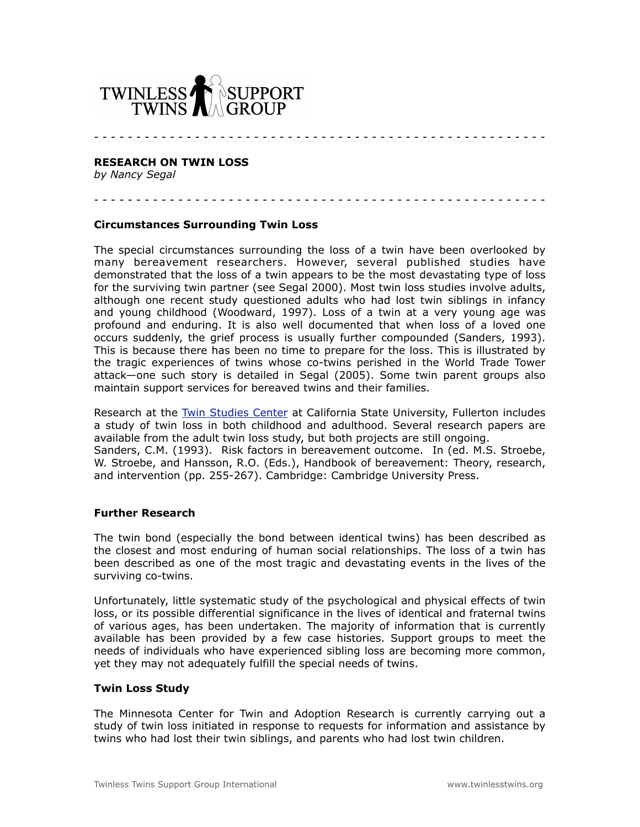

#### **RESEARCH ON TWIN LOSS**

*by Nancy Segal*

- - - - - - - - - - - - - - - - - - - - - - - - - - - - - - - - - - - - - - - - - - - - - - - - - - - - - -

## **Circumstances Surrounding Twin Loss**

The special circumstances surrounding the loss of a twin have been overlooked by many bereavement researchers. However, several published studies have demonstrated that the loss of a twin appears to be the most devastating type of loss for the surviving twin partner (see Segal 2000). Most twin loss studies involve adults, although one recent study questioned adults who had lost twin siblings in infancy and young childhood (Woodward, 1997). Loss of a twin at a very young age was profound and enduring. It is also well documented that when loss of a loved one occurs suddenly, the grief process is usually further compounded (Sanders, 1993). This is because there has been no time to prepare for the loss. This is illustrated by the tragic experiences of twins whose co-twins perished in the World Trade Tower attack—one such story is detailed in Segal (2005). Some twin parent groups also maintain support services for bereaved twins and their families.

- - - - - - - - - - - - - - - - - - - - - - - - - - - - - - - - - - - - - - - - - - - - - - - - - - - - - -

Research at the [Twin Studies Center](http://psych.fullerton.edu/nsegal/) at California State University, Fullerton includes a study of twin loss in both childhood and adulthood. Several research papers are available from the adult twin loss study, but both projects are still ongoing. Sanders, C.M. (1993). Risk factors in bereavement outcome. In (ed. M.S. Stroebe, W. Stroebe, and Hansson, R.O. (Eds.), Handbook of bereavement: Theory, research, and intervention (pp. 255-267). Cambridge: Cambridge University Press.

#### **Further Research**

The twin bond (especially the bond between identical twins) has been described as the closest and most enduring of human social relationships. The loss of a twin has been described as one of the most tragic and devastating events in the lives of the surviving co-twins.

Unfortunately, little systematic study of the psychological and physical effects of twin loss, or its possible differential significance in the lives of identical and fraternal twins of various ages, has been undertaken. The majority of information that is currently available has been provided by a few case histories. Support groups to meet the needs of individuals who have experienced sibling loss are becoming more common, yet they may not adequately fulfill the special needs of twins.

# **Twin Loss Study**

The Minnesota Center for Twin and Adoption Research is currently carrying out a study of twin loss initiated in response to requests for information and assistance by twins who had lost their twin siblings, and parents who had lost twin children.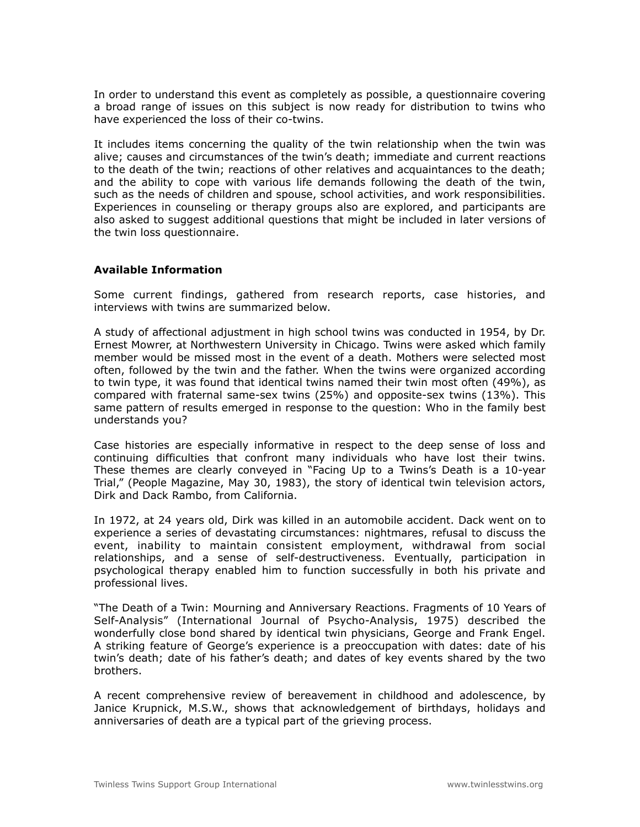In order to understand this event as completely as possible, a questionnaire covering a broad range of issues on this subject is now ready for distribution to twins who have experienced the loss of their co-twins.

It includes items concerning the quality of the twin relationship when the twin was alive; causes and circumstances of the twin's death; immediate and current reactions to the death of the twin; reactions of other relatives and acquaintances to the death; and the ability to cope with various life demands following the death of the twin, such as the needs of children and spouse, school activities, and work responsibilities. Experiences in counseling or therapy groups also are explored, and participants are also asked to suggest additional questions that might be included in later versions of the twin loss questionnaire.

# **Available Information**

Some current findings, gathered from research reports, case histories, and interviews with twins are summarized below.

A study of affectional adjustment in high school twins was conducted in 1954, by Dr. Ernest Mowrer, at Northwestern University in Chicago. Twins were asked which family member would be missed most in the event of a death. Mothers were selected most often, followed by the twin and the father. When the twins were organized according to twin type, it was found that identical twins named their twin most often (49%), as compared with fraternal same-sex twins (25%) and opposite-sex twins (13%). This same pattern of results emerged in response to the question: Who in the family best understands you?

Case histories are especially informative in respect to the deep sense of loss and continuing difficulties that confront many individuals who have lost their twins. These themes are clearly conveyed in "Facing Up to a Twins's Death is a 10-year Trial," (People Magazine, May 30, 1983), the story of identical twin television actors, Dirk and Dack Rambo, from California.

In 1972, at 24 years old, Dirk was killed in an automobile accident. Dack went on to experience a series of devastating circumstances: nightmares, refusal to discuss the event, inability to maintain consistent employment, withdrawal from social relationships, and a sense of self-destructiveness. Eventually, participation in psychological therapy enabled him to function successfully in both his private and professional lives.

"The Death of a Twin: Mourning and Anniversary Reactions. Fragments of 10 Years of Self-Analysis" (International Journal of Psycho-Analysis, 1975) described the wonderfully close bond shared by identical twin physicians, George and Frank Engel. A striking feature of George's experience is a preoccupation with dates: date of his twin's death; date of his father's death; and dates of key events shared by the two brothers.

A recent comprehensive review of bereavement in childhood and adolescence, by Janice Krupnick, M.S.W., shows that acknowledgement of birthdays, holidays and anniversaries of death are a typical part of the grieving process.